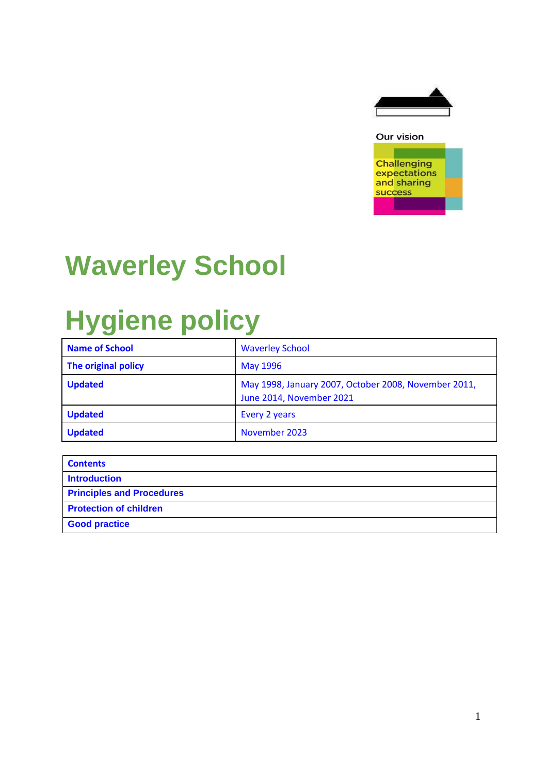



## **Waverley School**

## **Hygiene policy**

| <b>Name of School</b> | <b>Waverley School</b>                                                           |
|-----------------------|----------------------------------------------------------------------------------|
| The original policy   | <b>May 1996</b>                                                                  |
| <b>Updated</b>        | May 1998, January 2007, October 2008, November 2011,<br>June 2014, November 2021 |
| <b>Updated</b>        | Every 2 years                                                                    |
| <b>Updated</b>        | November 2023                                                                    |

| <b>Contents</b>                  |
|----------------------------------|
| <b>Introduction</b>              |
| <b>Principles and Procedures</b> |
| <b>Protection of children</b>    |
| <b>Good practice</b>             |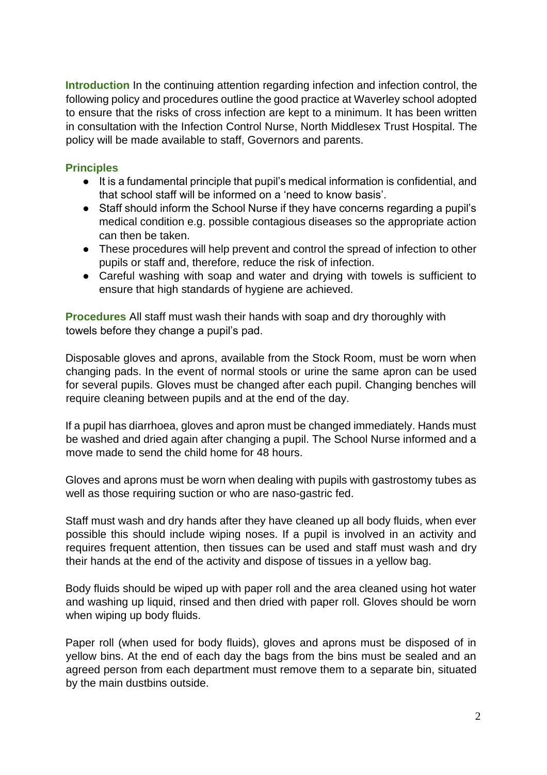**Introduction** In the continuing attention regarding infection and infection control, the following policy and procedures outline the good practice at Waverley school adopted to ensure that the risks of cross infection are kept to a minimum. It has been written in consultation with the Infection Control Nurse, North Middlesex Trust Hospital. The policy will be made available to staff, Governors and parents.

## **Principles**

- It is a fundamental principle that pupil's medical information is confidential, and that school staff will be informed on a 'need to know basis'.
- Staff should inform the School Nurse if they have concerns regarding a pupil's medical condition e.g. possible contagious diseases so the appropriate action can then be taken.
- These procedures will help prevent and control the spread of infection to other pupils or staff and, therefore, reduce the risk of infection.
- Careful washing with soap and water and drying with towels is sufficient to ensure that high standards of hygiene are achieved.

**Procedures** All staff must wash their hands with soap and dry thoroughly with towels before they change a pupil's pad.

Disposable gloves and aprons, available from the Stock Room, must be worn when changing pads. In the event of normal stools or urine the same apron can be used for several pupils. Gloves must be changed after each pupil. Changing benches will require cleaning between pupils and at the end of the day.

If a pupil has diarrhoea, gloves and apron must be changed immediately. Hands must be washed and dried again after changing a pupil. The School Nurse informed and a move made to send the child home for 48 hours.

Gloves and aprons must be worn when dealing with pupils with gastrostomy tubes as well as those requiring suction or who are naso-gastric fed.

Staff must wash and dry hands after they have cleaned up all body fluids, when ever possible this should include wiping noses. If a pupil is involved in an activity and requires frequent attention, then tissues can be used and staff must wash and dry their hands at the end of the activity and dispose of tissues in a yellow bag.

Body fluids should be wiped up with paper roll and the area cleaned using hot water and washing up liquid, rinsed and then dried with paper roll. Gloves should be worn when wiping up body fluids.

Paper roll (when used for body fluids), gloves and aprons must be disposed of in yellow bins. At the end of each day the bags from the bins must be sealed and an agreed person from each department must remove them to a separate bin, situated by the main dustbins outside.